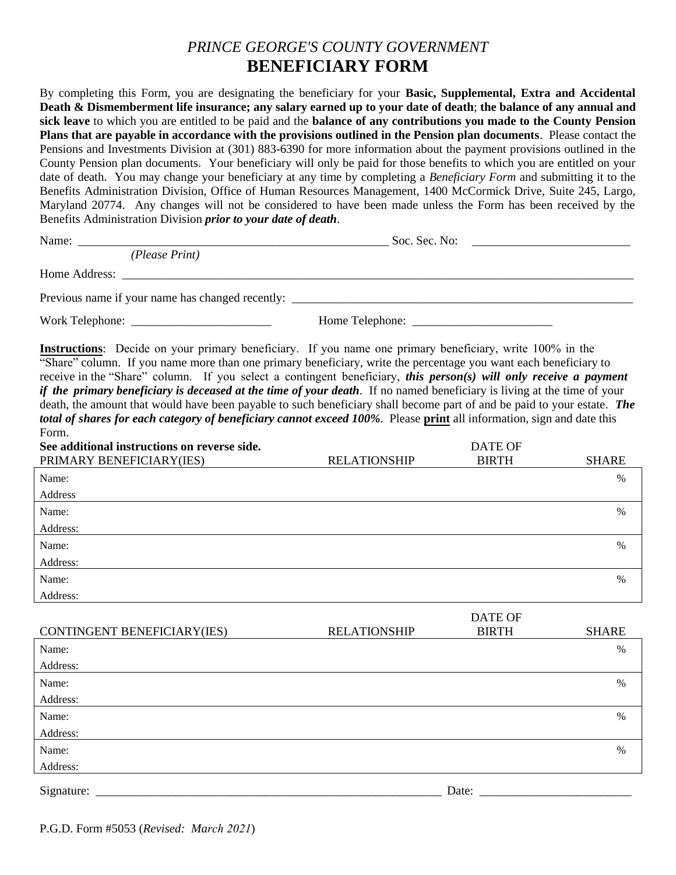## *PRINCE GEORGE'S COUNTY GOVERNMENT*  **BENEFICIARY FORM**

By completing this Form, you are designating the beneficiary for your **Basic, Supplemental, Extra and Accidental Death & Dismemberment life insurance; any salary earned up to your date of death**; **the balance of any annual and sick leave** to which you are entitled to be paid and the **balance of any contributions you made to the County Pension Plans that are payable in accordance with the provisions outlined in the Pension plan documents**. Please contact the Pensions and Investments Division at (301) 883-6390 for more information about the payment provisions outlined in the County Pension plan documents. Your beneficiary will only be paid for those benefits to which you are entitled on your date of death. You may change your beneficiary at any time by completing a *Beneficiary Form* and submitting it to the Benefits Administration Division, Office of Human Resources Management, 1400 McCormick Drive, Suite 245, Largo, Maryland 20774. Any changes will not be considered to have been made unless the Form has been received by the Benefits Administration Division *prior to your date of death*.

|                                                                                                                                                                                                                                                                                                                                                                                                                                                                                                                                                                                                                                                                                                                                                  | Soc. Sec. No: $\qquad \qquad$ |                                     |              |
|--------------------------------------------------------------------------------------------------------------------------------------------------------------------------------------------------------------------------------------------------------------------------------------------------------------------------------------------------------------------------------------------------------------------------------------------------------------------------------------------------------------------------------------------------------------------------------------------------------------------------------------------------------------------------------------------------------------------------------------------------|-------------------------------|-------------------------------------|--------------|
| (Please Print)                                                                                                                                                                                                                                                                                                                                                                                                                                                                                                                                                                                                                                                                                                                                   |                               |                                     |              |
|                                                                                                                                                                                                                                                                                                                                                                                                                                                                                                                                                                                                                                                                                                                                                  |                               |                                     |              |
|                                                                                                                                                                                                                                                                                                                                                                                                                                                                                                                                                                                                                                                                                                                                                  |                               |                                     |              |
|                                                                                                                                                                                                                                                                                                                                                                                                                                                                                                                                                                                                                                                                                                                                                  |                               |                                     |              |
| Instructions: Decide on your primary beneficiary. If you name one primary beneficiary, write 100% in the<br>"Share" column. If you name more than one primary beneficiary, write the percentage you want each beneficiary to<br>receive in the "Share" column. If you select a contingent beneficiary, this person(s) will only receive a payment<br><i>if the primary beneficiary is deceased at the time of your death.</i> If no named beneficiary is living at the time of your<br>death, the amount that would have been payable to such beneficiary shall become part of and be paid to your estate. The<br>total of shares for each category of beneficiary cannot exceed 100%. Please print all information, sign and date this<br>Form. |                               |                                     |              |
| See additional instructions on reverse side.                                                                                                                                                                                                                                                                                                                                                                                                                                                                                                                                                                                                                                                                                                     |                               | <b>DATE OF</b>                      |              |
| PRIMARY BENEFICIARY(IES)                                                                                                                                                                                                                                                                                                                                                                                                                                                                                                                                                                                                                                                                                                                         | <b>RELATIONSHIP</b>           | <b>BIRTH</b>                        | <b>SHARE</b> |
| Name:                                                                                                                                                                                                                                                                                                                                                                                                                                                                                                                                                                                                                                                                                                                                            |                               |                                     | $\%$         |
| Address                                                                                                                                                                                                                                                                                                                                                                                                                                                                                                                                                                                                                                                                                                                                          |                               |                                     |              |
| Name:                                                                                                                                                                                                                                                                                                                                                                                                                                                                                                                                                                                                                                                                                                                                            |                               |                                     | $\%$         |
| Address:                                                                                                                                                                                                                                                                                                                                                                                                                                                                                                                                                                                                                                                                                                                                         |                               |                                     |              |
| Name:                                                                                                                                                                                                                                                                                                                                                                                                                                                                                                                                                                                                                                                                                                                                            |                               |                                     | $\%$         |
| Address:                                                                                                                                                                                                                                                                                                                                                                                                                                                                                                                                                                                                                                                                                                                                         |                               |                                     |              |
| Name:                                                                                                                                                                                                                                                                                                                                                                                                                                                                                                                                                                                                                                                                                                                                            |                               |                                     | $\%$         |
| Address:                                                                                                                                                                                                                                                                                                                                                                                                                                                                                                                                                                                                                                                                                                                                         |                               |                                     |              |
|                                                                                                                                                                                                                                                                                                                                                                                                                                                                                                                                                                                                                                                                                                                                                  |                               | $P_{\rm H}$ $P_{\rm H}$ $P_{\rm H}$ |              |

|                             |                     | DAIE OF      |              |
|-----------------------------|---------------------|--------------|--------------|
| CONTINGENT BENEFICIARY(IES) | <b>RELATIONSHIP</b> | <b>BIRTH</b> | <b>SHARE</b> |
| Name:                       |                     |              | %            |
| Address:                    |                     |              |              |
| Name:                       |                     |              | %            |
| Address:                    |                     |              |              |
| Name:                       |                     |              | %            |
| Address:                    |                     |              |              |
| Name:                       |                     |              | %            |
| Address:                    |                     |              |              |
| Signature:                  |                     | Date:        |              |